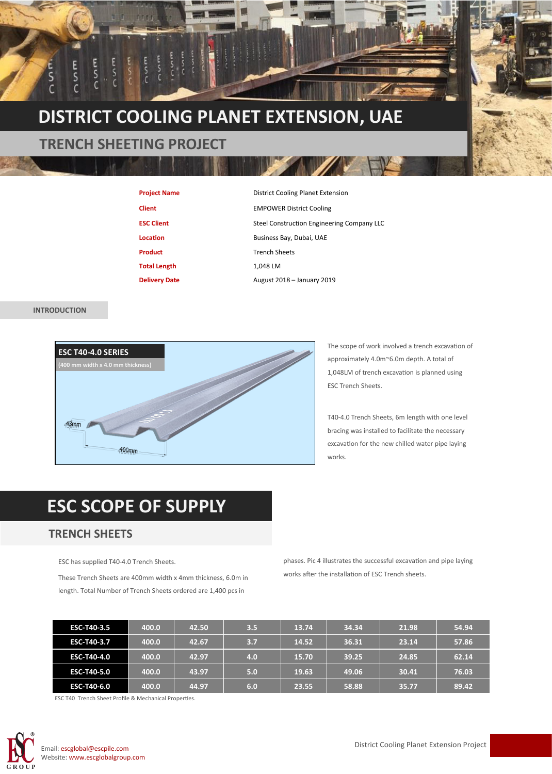

| <b>Project Name</b>  | District Cooling Planet Extension          |  |  |
|----------------------|--------------------------------------------|--|--|
| <b>Client</b>        | <b>EMPOWER District Cooling</b>            |  |  |
| <b>ESC Client</b>    | Steel Construction Engineering Company LLC |  |  |
| Location             | Business Bay, Dubai, UAE                   |  |  |
| <b>Product</b>       | <b>Trench Sheets</b>                       |  |  |
| <b>Total Length</b>  | 1.048 LM                                   |  |  |
| <b>Delivery Date</b> | August 2018 - January 2019                 |  |  |

## **INTRODUCTION**



The scope of work involved a trench excavation of approximately 4.0m~6.0m depth. A total of 1,048LM of trench excavation is planned using ESC Trench Sheets.

T40-4.0 Trench Sheets, 6m length with one level bracing was installed to facilitate the necessary excavation for the new chilled water pipe laying works.

## **ESC SCOPE OF SUPPLY**

## **TRENCH SHEETS**

ESC has supplied T40-4.0 Trench Sheets.

These Trench Sheets are 400mm width x 4mm thickness, 6.0m in length. Total Number of Trench Sheets ordered are 1,400 pcs in

phases. Pic 4 illustrates the successful excavation and pipe laying works after the installation of ESC Trench sheets.

| <b>ESC-T40-3.5</b> | 400.0 | 42.50 | 3.5 | 13.74 | 34.34 | 21.98 | 54.94 |
|--------------------|-------|-------|-----|-------|-------|-------|-------|
| <b>ESC-T40-3.7</b> | 400.0 | 42.67 | 3.7 | 14.52 | 36.31 | 23.14 | 57.86 |
| ESC-T40-4.0        | 400.0 | 42.97 | 4.0 | 15.70 | 39.25 | 24.85 | 62.14 |
| <b>ESC-T40-5.0</b> | 400.0 | 43.97 | 5.0 | 19.63 | 49.06 | 30.41 | 76.03 |
| ESC-T40-6.0        | 400.0 | 44.97 | 6.0 | 23.55 | 58.88 | 35.77 | 89.42 |

ESC T40 Trench Sheet Profile & Mechanical Properties.